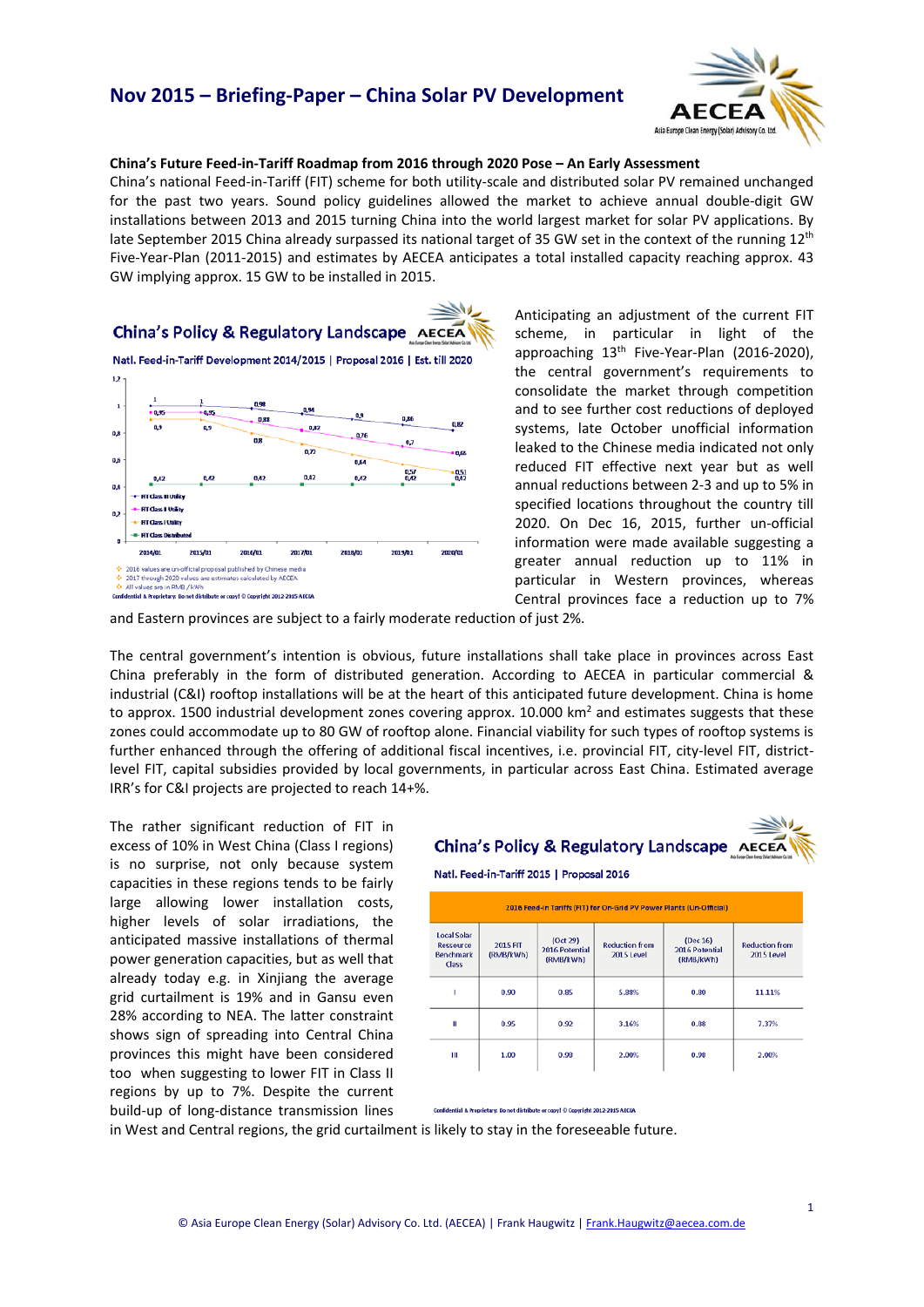## **Nov 2015 – Briefing-Paper – China Solar PV Development**



### **China's Future Feed-in-Tariff Roadmap from 2016 through 2020 Pose – An Early Assessment**

China's national Feed-in-Tariff (FIT) scheme for both utility-scale and distributed solar PV remained unchanged for the past two years. Sound policy guidelines allowed the market to achieve annual double-digit GW installations between 2013 and 2015 turning China into the world largest market for solar PV applications. By late September 2015 China already surpassed its national target of 35 GW set in the context of the running  $12<sup>th</sup>$ Five-Year-Plan (2011-2015) and estimates by AECEA anticipates a total installed capacity reaching approx. 43 GW implying approx. 15 GW to be installed in 2015.



Anticipating an adjustment of the current FIT scheme, in particular in light of the approaching 13<sup>th</sup> Five-Year-Plan (2016-2020). the central government's requirements to consolidate the market through competition and to see further cost reductions of deployed systems, late October unofficial information leaked to the Chinese media indicated not only reduced FIT effective next year but as well annual reductions between 2-3 and up to 5% in specified locations throughout the country till 2020. On Dec 16, 2015, further un-official information were made available suggesting a greater annual reduction up to 11% in particular in Western provinces, whereas Central provinces face a reduction up to 7%

and Eastern provinces are subject to a fairly moderate reduction of just 2%.

The central government's intention is obvious, future installations shall take place in provinces across East China preferably in the form of distributed generation. According to AECEA in particular commercial & industrial (C&I) rooftop installations will be at the heart of this anticipated future development. China is home to approx. 1500 industrial development zones covering approx. 10.000 km<sup>2</sup> and estimates suggests that these zones could accommodate up to 80 GW of rooftop alone. Financial viability for such types of rooftop systems is further enhanced through the offering of additional fiscal incentives, i.e. provincial FIT, city-level FIT, districtlevel FIT, capital subsidies provided by local governments, in particular across East China. Estimated average IRR's for C&I projects are projected to reach 14+%.

The rather significant reduction of FIT in excess of 10% in West China (Class I regions) is no surprise, not only because system capacities in these regions tends to be fairly large allowing lower installation costs, higher levels of solar irradiations, the anticipated massive installations of thermal power generation capacities, but as well that already today e.g. in Xinjiang the average grid curtailment is 19% and in Gansu even 28% according to NEA. The latter constraint shows sign of spreading into Central China provinces this might have been considered too when suggesting to lower FIT in Class II regions by up to 7%. Despite the current build-up of long-distance transmission lines



Natl. Feed-in-Tariff 2015 | Proposal 2016

| 2016 Feed-in Tariffs (FIT) for On-Grid PV Power Plants (Un-Official) |                              |                                         |                                     |                                         |                                     |
|----------------------------------------------------------------------|------------------------------|-----------------------------------------|-------------------------------------|-----------------------------------------|-------------------------------------|
| <b>Local Solar</b><br><b>Ressource</b><br><b>Benchmark</b><br>Class  | <b>2015 FIT</b><br>(RMB/kWh) | (Oct 29)<br>2016 Potential<br>(RMB/kWh) | <b>Reduction from</b><br>2015 Level | (Dec 16)<br>2016 Potential<br>(RMB/kWh) | <b>Reduction from</b><br>2015 Level |
|                                                                      | 0.90                         | 0.85                                    | 5.88%                               | 0.80                                    | 11.11%                              |
| п                                                                    | 0.95                         | 0.92                                    | 3.16%                               | 0.88                                    | 7.37%                               |
| Ш                                                                    | 1.00                         | 0.98                                    | 2.00%                               | 0.98                                    | 2.00%                               |

ry: Do not distribute or copy! © Copyright 2012-2015 AECEA

in West and Central regions, the grid curtailment is likely to stay in the foreseeable future.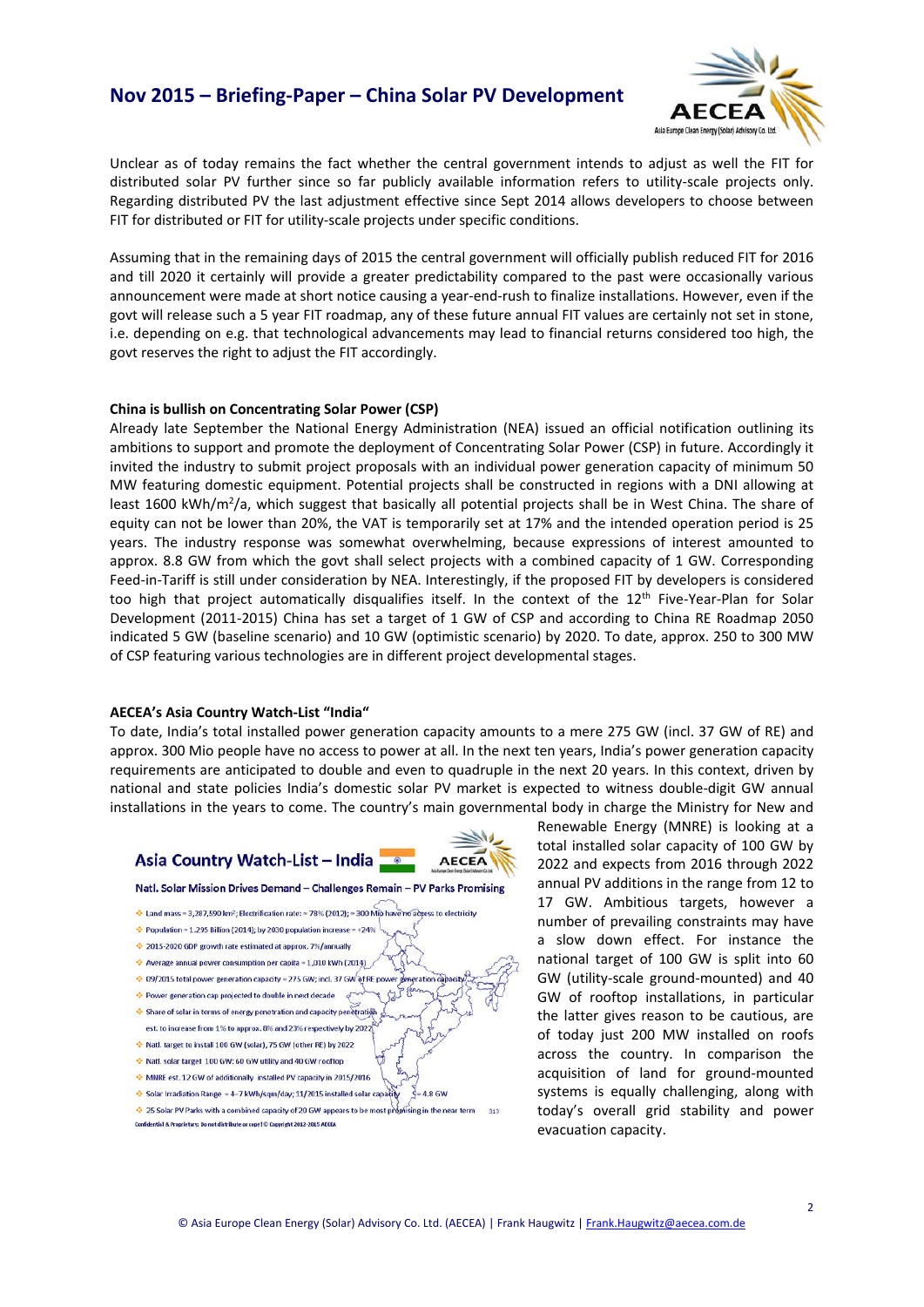### **Nov 2015 – Briefing-Paper – China Solar PV Development**



Unclear as of today remains the fact whether the central government intends to adjust as well the FIT for distributed solar PV further since so far publicly available information refers to utility-scale projects only. Regarding distributed PV the last adjustment effective since Sept 2014 allows developers to choose between FIT for distributed or FIT for utility-scale projects under specific conditions.

Assuming that in the remaining days of 2015 the central government will officially publish reduced FIT for 2016 and till 2020 it certainly will provide a greater predictability compared to the past were occasionally various announcement were made at short notice causing a year-end-rush to finalize installations. However, even if the govt will release such a 5 year FIT roadmap, any of these future annual FIT values are certainly not set in stone, i.e. depending on e.g. that technological advancements may lead to financial returns considered too high, the govt reserves the right to adjust the FIT accordingly.

#### **China is bullish on Concentrating Solar Power (CSP)**

Already late September the National Energy Administration (NEA) issued an official notification outlining its ambitions to support and promote the deployment of Concentrating Solar Power (CSP) in future. Accordingly it invited the industry to submit project proposals with an individual power generation capacity of minimum 50 MW featuring domestic equipment. Potential projects shall be constructed in regions with a DNI allowing at least 1600 kWh/m<sup>2</sup>/a, which suggest that basically all potential projects shall be in West China. The share of equity can not be lower than 20%, the VAT is temporarily set at 17% and the intended operation period is 25 years. The industry response was somewhat overwhelming, because expressions of interest amounted to approx. 8.8 GW from which the govt shall select projects with a combined capacity of 1 GW. Corresponding Feed-in-Tariff is still under consideration by NEA. Interestingly, if the proposed FIT by developers is considered too high that project automatically disqualifies itself. In the context of the 12<sup>th</sup> Five-Year-Plan for Solar Development (2011-2015) China has set a target of 1 GW of CSP and according to China RE Roadmap 2050 indicated 5 GW (baseline scenario) and 10 GW (optimistic scenario) by 2020. To date, approx. 250 to 300 MW of CSP featuring various technologies are in different project developmental stages.

#### **AECEA's Asia Country Watch-List "India"**

To date, India's total installed power generation capacity amounts to a mere 275 GW (incl. 37 GW of RE) and approx. 300 Mio people have no access to power at all. In the next ten years, India's power generation capacity requirements are anticipated to double and even to quadruple in the next 20 years. In this context, driven by national and state policies India's domestic solar PV market is expected to witness double-digit GW annual installations in the years to come. The country's main governmental body in charge the Ministry for New and





Renewable Energy (MNRE) is looking at a total installed solar capacity of 100 GW by 2022 and expects from 2016 through 2022 annual PV additions in the range from 12 to 17 GW. Ambitious targets, however a number of prevailing constraints may have a slow down effect. For instance the national target of 100 GW is split into 60 GW (utility-scale ground-mounted) and 40 GW of rooftop installations, in particular the latter gives reason to be cautious, are of today just 200 MW installed on roofs across the country. In comparison the acquisition of land for ground-mounted systems is equally challenging, along with today's overall grid stability and power evacuation capacity.